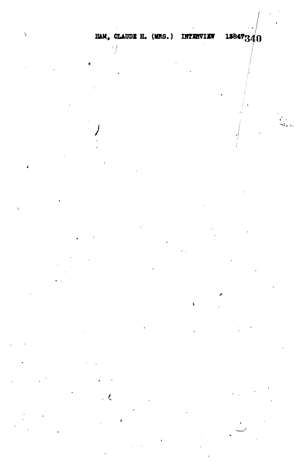$\frac{1}{2}$ 

 $\frac{1}{2}$ 

L

 $\ell$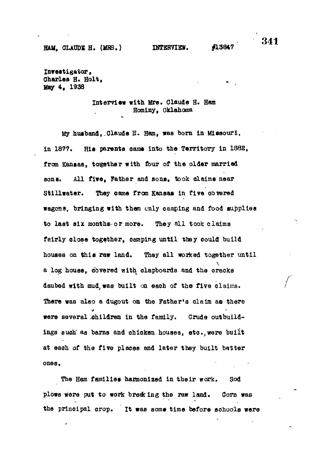**Investigator, Charles H. Holt, May 4, 1938**

## **Interview with Mrs. Claude H. Han Hominy, Oklahoma**

**My husband, .Claude H. Ham, was born in Missouri, in 1877. His parents oame into the Territory in 1882, from Kansas, together with four of the older married sons. All five, Father and sons, took claims near Stillwater. They came from Kansas in five obvered wagons, bringing with them only camping and food supplies to last six months or more. They all took claims fairly close together, camping until they could build houses on this raw land. They all worked together until a log house, covered with clapboards and the cracks daubed with mud, waB built on each of the five claims.** There was also a dugout on the Father's claim as there **were several .ohildrea in the family. Crude outbuildings such' as barns and chicken houses, etc.,were built at each of the five places and later they built better ones.**

**The Ham families harmonized in their work. Sod plows were put to work brede ing the raw land. Corn was the principal crop. It was some time before schools were**